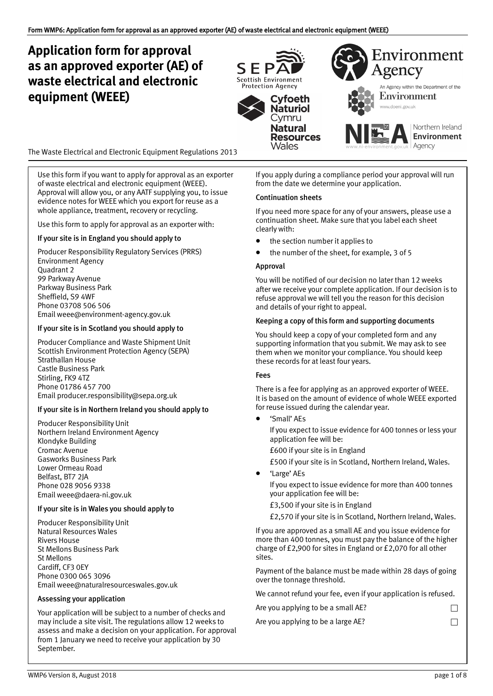# **Application form for approval as an approved exporter (AE) of waste electrical and electronic equipment (WEEE)**



The Waste Electrical and Electronic Equipment Regulations 2013

Use this form if you want to apply for approval as an exporter of waste electrical and electronic equipment (WEEE). Approval will allow you, or any AATF supplying you, to issue evidence notes for WEEE which you export for reuse as a whole appliance, treatment, recovery or recycling.

Use this form to apply for approval as an exporter with:

### If your site is in England you should apply to

Producer Responsibility Regulatory Services (PRRS) Environment Agency Quadrant 2 99 Parkway Avenue Parkway Business Park Sheffield, S9 4WF Phone 03708 506 506 Email [weee@environment‐agency.gov.uk](mailto: weee@environment-agency.gov.uk)

#### If your site is in Scotland you should apply to

Producer Compliance and Waste Shipment Unit Scottish Environment Protection Agency (SEPA) Strathallan House Castle Business Park Stirling, FK9 4TZ Phone 01786 457 700 Email [producer.responsibility@sepa.org.uk](mailto: producer.responsibility@sepa.org.uk) 

### If your site is in Northern Ireland you should apply to

Producer Responsibility Unit Northern Ireland Environment Agency Klondyke Building Cromac Avenue Gasworks Business Park Lower Ormeau Road Belfast, BT7 2JA Phone 028 9056 9338 Emai[l weee@daera](mailto: weee@daera-ni.gov.uk)‐ni.gov.uk

#### If your site is in Wales you should apply to

Producer Responsibility Unit Natural Resources Wales Rivers House St Mellons Business Park St Mellons Cardiff, CF3 0EY Phone 0300 065 3096 Emai[l weee@naturalresourceswales.gov.uk](mailto: weee@naturalresourceswales.gov.uk)

### Assessing your application

Your application will be subject to a number of checks and may include a site visit. The regulations allow 12 weeks to assess and make a decision on your application. For approval from 1 January we need to receive your application by 30 September.

If you apply during a compliance period your approval will run from the date we determine your application.

#### Continuation sheets

If you need more space for any of your answers, please use a continuation sheet. Make sure that you label each sheet clearly with:

- the section number it applies to
- the number of the sheet, for example, 3 of 5

#### Approval

You will be notified of our decision no later than 12 weeks after we receive your complete application. If our decision is to refuse approval we will tell you the reason for this decision and details of your right to appeal.

### Keeping a copy of this form and supporting documents

You should keep a copy of your completed form and any supporting information that you submit. We may ask to see them when we monitor your compliance. You should keep these records for at least four years.

#### Fees

There is a fee for applying as an approved exporter of WEEE. It is based on the amount of evidence of whole WEEE exported for reuse issued during the calendar year.

• 'Small' AEs

If you expect to issue evidence for 400 tonnes or less your application fee will be:

£600 if your site is in England

£500 if your site is in Scotland, Northern Ireland, Wales.

• 'Large' AEs

If you expect to issue evidence for more than 400 tonnes your application fee will be:

£3,500 if your site is in England

£2,570 if your site is in Scotland, Northern Ireland, Wales.

If you are approved as a small AE and you issue evidence for more than 400 tonnes, you must pay the balance of the higher charge of £2,900 for sites in England or £2,070 for all other sites.

Payment of the balance must be made within 28 days of going over the tonnage threshold.

We cannot refund your fee, even if your application is refused.

| Are you applying to be a small AE? |  |
|------------------------------------|--|
| Are you applying to be a large AE? |  |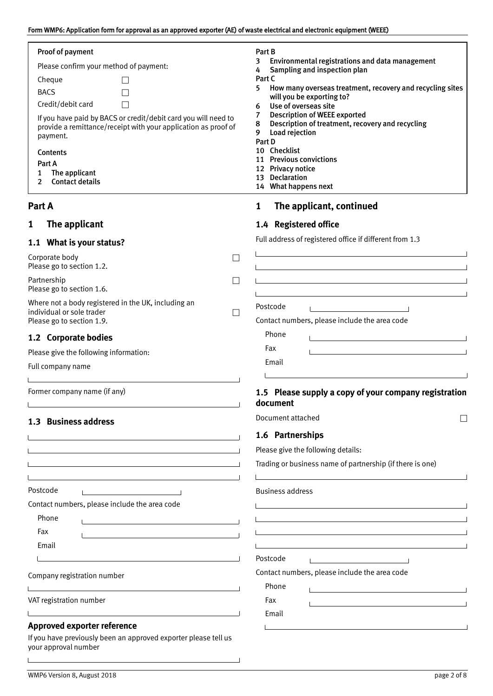## Form WMP6: Application form for approval as an approved exporter (AE) of waste electrical and electronic equipment (WEEE)

| Proof of payment                                                                                                                                                                                                              | Part B                                                                                                                                                                                                                        |
|-------------------------------------------------------------------------------------------------------------------------------------------------------------------------------------------------------------------------------|-------------------------------------------------------------------------------------------------------------------------------------------------------------------------------------------------------------------------------|
| Please confirm your method of payment:                                                                                                                                                                                        | Environmental registrations and data management<br>3<br>Sampling and inspection plan<br>4                                                                                                                                     |
| Cheque                                                                                                                                                                                                                        | Part C                                                                                                                                                                                                                        |
| <b>BACS</b>                                                                                                                                                                                                                   | 5.<br>How many overseas treatment, recovery and recycling sites<br>will you be exporting to?                                                                                                                                  |
| Credit/debit card                                                                                                                                                                                                             | Use of overseas site<br>6                                                                                                                                                                                                     |
| If you have paid by BACS or credit/debit card you will need to<br>provide a remittance/receipt with your application as proof of                                                                                              | <b>Description of WEEE exported</b><br>7<br>Description of treatment, recovery and recycling<br>8                                                                                                                             |
| payment.                                                                                                                                                                                                                      | Load rejection<br>9                                                                                                                                                                                                           |
| Contents                                                                                                                                                                                                                      | Part D<br>10 Checklist                                                                                                                                                                                                        |
| Part A                                                                                                                                                                                                                        | 11 Previous convictions                                                                                                                                                                                                       |
| The applicant<br>1                                                                                                                                                                                                            | 12 Privacy notice<br>13 Declaration                                                                                                                                                                                           |
| <b>Contact details</b><br>2                                                                                                                                                                                                   | 14 What happens next                                                                                                                                                                                                          |
| Part A                                                                                                                                                                                                                        | The applicant, continued<br>$\mathbf{1}$                                                                                                                                                                                      |
| The applicant<br>1                                                                                                                                                                                                            | 1.4 Registered office                                                                                                                                                                                                         |
| 1.1 What is your status?                                                                                                                                                                                                      | Full address of registered office if different from 1.3                                                                                                                                                                       |
| Corporate body<br>$\Box$                                                                                                                                                                                                      |                                                                                                                                                                                                                               |
| Please go to section 1.2.                                                                                                                                                                                                     |                                                                                                                                                                                                                               |
| Partnership<br>$\Box$<br>Please go to section 1.6.                                                                                                                                                                            |                                                                                                                                                                                                                               |
| Where not a body registered in the UK, including an                                                                                                                                                                           |                                                                                                                                                                                                                               |
| individual or sole trader<br>$\Box$                                                                                                                                                                                           | Postcode                                                                                                                                                                                                                      |
| Please go to section 1.9.                                                                                                                                                                                                     | Contact numbers, please include the area code                                                                                                                                                                                 |
| 1.2 Corporate bodies                                                                                                                                                                                                          | Phone                                                                                                                                                                                                                         |
| Please give the following information:                                                                                                                                                                                        | Fax                                                                                                                                                                                                                           |
| Full company name                                                                                                                                                                                                             | Email                                                                                                                                                                                                                         |
|                                                                                                                                                                                                                               |                                                                                                                                                                                                                               |
| Former company name (if any)                                                                                                                                                                                                  | 1.5 Please supply a copy of your company registration<br>document                                                                                                                                                             |
| 1.3 Business address                                                                                                                                                                                                          | Document attached<br>$\mathsf{L}$                                                                                                                                                                                             |
| <u> 1989 - Johann Barn, amerikan besteman besteman besteman besteman besteman besteman besteman besteman bestema</u>                                                                                                          | 1.6 Partnerships                                                                                                                                                                                                              |
| and the control of the control of the control of the control of the control of the control of the control of the                                                                                                              | Please give the following details:                                                                                                                                                                                            |
|                                                                                                                                                                                                                               | Trading or business name of partnership (if there is one)                                                                                                                                                                     |
|                                                                                                                                                                                                                               |                                                                                                                                                                                                                               |
| Postcode                                                                                                                                                                                                                      | <b>Business address</b>                                                                                                                                                                                                       |
| Contact numbers, please include the area code                                                                                                                                                                                 | <u> 1989 - Johann Stoff, deutscher Stoffen und der Stoffen und der Stoffen und der Stoffen und der Stoffen und der</u>                                                                                                        |
| Phone<br>the control of the control of the control of the control of the control of                                                                                                                                           | <u> 1989 - Johann Stoff, amerikansk politiker (* 1908)</u>                                                                                                                                                                    |
| Fax                                                                                                                                                                                                                           | the control of the control of the control of the control of the control of the control of the control of the control of the control of the control of the control of the control of the control of the control of the control |
| Email                                                                                                                                                                                                                         |                                                                                                                                                                                                                               |
| the control of the control of the control of the control of the control of the control of                                                                                                                                     | Postcode                                                                                                                                                                                                                      |
| Company registration number                                                                                                                                                                                                   | Contact numbers, please include the area code                                                                                                                                                                                 |
| the control of the control of the control of the control of the control of the control of the control of the control of the control of the control of the control of the control of the control of the control of the control | Phone                                                                                                                                                                                                                         |
| VAT registration number                                                                                                                                                                                                       | Fax<br>the contract of the contract of the contract of the contract of the contract of                                                                                                                                        |
| <u> 1989 - Johann Harry Harry Harry Harry Harry Harry Harry Harry Harry Harry Harry Harry Harry Harry Harry Harry</u>                                                                                                         | Email                                                                                                                                                                                                                         |
| <b>Approved exporter reference</b>                                                                                                                                                                                            |                                                                                                                                                                                                                               |
| If you have previously been an approved exporter please tell us<br>your approval number                                                                                                                                       |                                                                                                                                                                                                                               |

 $\overline{\phantom{a}}$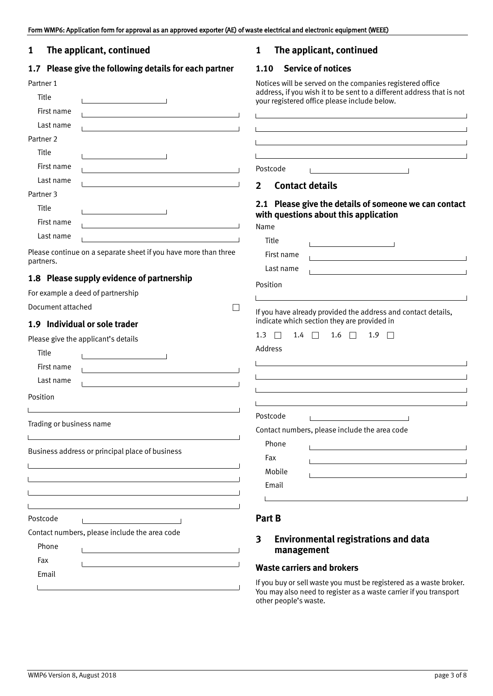## <span id="page-2-0"></span>**1 The applicant, continued**

## **1.7 Please give the following details for each partner**

| Partner 1            |  |
|----------------------|--|
| Title                |  |
| First name           |  |
| Last name            |  |
| Partner <sub>2</sub> |  |
| Title                |  |
| First name           |  |
| Last name            |  |
| Partner <sub>3</sub> |  |
| Title                |  |
| First name           |  |
| Last name            |  |
|                      |  |

Please continue on a separate sheet if you have more than three partners.

### **1.8 Please supply evidence of partnership**

| For example a deed of partnership |  |
|-----------------------------------|--|
|-----------------------------------|--|

Document attached

## **1.9 Individual or sole trader**

Please give the applicant's details

| Title                    |                                                                                                                                                                          |
|--------------------------|--------------------------------------------------------------------------------------------------------------------------------------------------------------------------|
| First name               |                                                                                                                                                                          |
| Last name                | <u> 1989 - Andrea Andrew Maria (h. 1989).</u>                                                                                                                            |
| Position                 |                                                                                                                                                                          |
|                          |                                                                                                                                                                          |
| Trading or business name |                                                                                                                                                                          |
|                          | Business address or principal place of business<br><u> 1989 - Johann Stoff, deutscher Stoff, der Stoff, der Stoff, der Stoff, der Stoff, der Stoff, der Stoff, der S</u> |
|                          |                                                                                                                                                                          |
|                          |                                                                                                                                                                          |
|                          |                                                                                                                                                                          |
| Postcode                 | the control of the control of the control of the control of                                                                                                              |
|                          | Contact numbers, please include the area code                                                                                                                            |
| Phone                    | <u> 1980 - Jan Barnett, fransk politik (d. 1980)</u>                                                                                                                     |
| Fax                      |                                                                                                                                                                          |
| Email                    |                                                                                                                                                                          |

## **1 The applicant, continued**

### **1.10 Service of notices**

Notices will be served on the companies registered office address, if you wish it to be sent to a different address that is not your registered office please include below.

|              |                        | the contract of the contract of the contract of the contract of the contract of the contract of the contract of                                                                                                               |
|--------------|------------------------|-------------------------------------------------------------------------------------------------------------------------------------------------------------------------------------------------------------------------------|
|              |                        | <u>a sa barang ang pagbabang nagarang pangangang nagarang pangangang nagarang pang</u>                                                                                                                                        |
|              |                        | the control of the control of the control of the control of the control of the control of the control of the control of the control of the control of the control of the control of the control of the control of the control |
|              | Postcode               | the control of the control of the control of the control of                                                                                                                                                                   |
| 2            | <b>Contact details</b> |                                                                                                                                                                                                                               |
| Name         |                        | 2.1 Please give the details of someone we can contact<br>with questions about this application                                                                                                                                |
|              | Title                  | $\mathbf{I}$ and $\mathbf{I}$ are the set of $\mathbf{I}$                                                                                                                                                                     |
|              | First name             |                                                                                                                                                                                                                               |
|              | Last name              | the control of the control of the control of the control of the control of the control of                                                                                                                                     |
| Position     |                        |                                                                                                                                                                                                                               |
|              |                        |                                                                                                                                                                                                                               |
|              |                        | If you have already provided the address and contact details,<br>indicate which section they are provided in                                                                                                                  |
| $1.3$ $\Box$ | 1.4                    | $1.6$ $\Box$<br>1.9<br>П.                                                                                                                                                                                                     |
| Address      |                        |                                                                                                                                                                                                                               |
|              |                        |                                                                                                                                                                                                                               |
|              |                        |                                                                                                                                                                                                                               |
|              |                        |                                                                                                                                                                                                                               |
|              |                        |                                                                                                                                                                                                                               |
|              | Postcode               | $\mathbf{1}$ and $\mathbf{1}$ and $\mathbf{1}$ and $\mathbf{1}$                                                                                                                                                               |
|              |                        | Contact numbers, please include the area code                                                                                                                                                                                 |
|              | Phone                  |                                                                                                                                                                                                                               |
|              | Fax                    | <u> 1980 - Andrea Andrew Maria (h. 1980).</u>                                                                                                                                                                                 |
|              | Mobile                 |                                                                                                                                                                                                                               |
|              | Email                  |                                                                                                                                                                                                                               |
|              |                        |                                                                                                                                                                                                                               |

### **Part B**

## **3 Environmental registrations and data management**

### **Waste carriers and brokers**

If you buy or sell waste you must be registered as a waste broker. You may also need to register as a waste carrier if you transport other people's waste.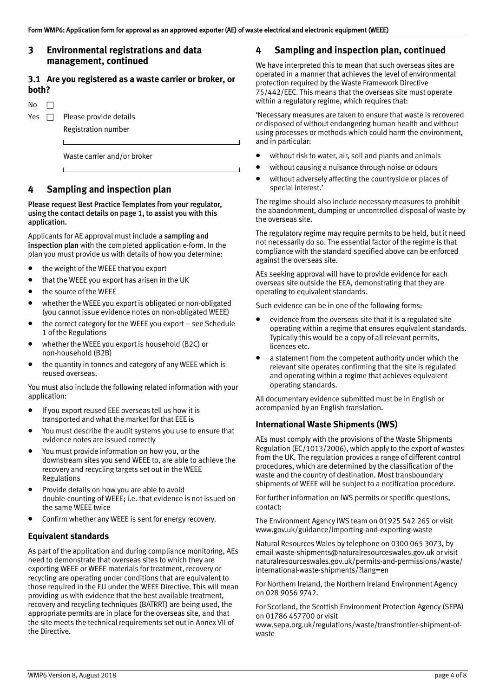### <span id="page-3-0"></span>**3 Environmental registrations and data management, continued**

### **3.1 Are you registered as a waste carrier or broker, or both?**

 $No \quad \Box$ Yes  $\Box$  Please provide details Registration number

Waste carrier and/or broker

## **4 Sampling and inspection plan**

Please request Best Practice Templates from your regulator, using the contact details on page 1, to assist you with this application.

Applicants for AE approval must include a sampling and inspection plan with the completed application e‐form. In the plan you must provide us with details of how you determine:

- the weight of the WEEE that you export
- that the WEEE you export has arisen in the UK
- the source of the WEEE
- whether the WEEE you export is obligated or non‐obligated (you cannot issue evidence notes on non‐obligated WEEE)
- the correct category for the WEEE you export see Schedule 1 of the Regulations
- whether the WEEE you export is household (B2C) or non‐household (B2B)
- the quantity in tonnes and category of any WEEE which is reused overseas.

You must also include the following related information with your application:

- If you export reused EEE overseas tell us how it is transported and what the market for that EEE is
- You must describe the audit systems you use to ensure that evidence notes are issued correctly
- You must provide information on how you, or the downstream sites you send WEEE to, are able to achieve the recovery and recycling targets set out in the WEEE Regulations
- Provide details on how you are able to avoid double‐counting of WEEE; i.e. that evidence is not issued on the same WEEE twice
- Confirm whether any WEEE is sent for energy recovery.

### **Equivalent standards**

As part of the application and during compliance monitoring, AEs need to demonstrate that overseas sites to which they are exporting WEEE or WEEE materials for treatment, recovery or recycling are operating under conditions that are equivalent to those required in the EU under the WEEE Directive. This will mean providing us with evidence that the best available treatment, recovery and recycling techniques (BATRRT) are being used, the appropriate permits are in place for the overseas site, and that the site meets the technical requirements set out in Annex VII of the Directive.

## **4 Sampling and inspection plan, continued**

We have interpreted this to mean that such overseas sites are operated in a manner that achieves the level of environmental protection required by the Waste Framework Directive 75/442/EEC. This means that the overseas site must operate within a regulatory regime, which requires that:

'Necessary measures are taken to ensure that waste is recovered or disposed of without endangering human health and without using processes or methods which could harm the environment, and in particular:

- without risk to water, air, soil and plants and animals
- without causing a nuisance through noise or odours
- without adversely affecting the countryside or places of special interest.'

The regime should also include necessary measures to prohibit the abandonment, dumping or uncontrolled disposal of waste by the overseas site.

The regulatory regime may require permits to be held, but it need not necessarily do so. The essential factor of the regime is that compliance with the standard specified above can be enforced against the overseas site.

AEs seeking approval will have to provide evidence for each overseas site outside the EEA, demonstrating that they are operating to equivalent standards.

Such evidence can be in one of the following forms:

- evidence from the overseas site that it is a regulated site operating within a regime that ensures equivalent standards. Typically this would be a copy of all relevant permits, licences etc.
- a statement from the competent authority under which the relevant site operates confirming that the site is regulated and operating within a regime that achieves equivalent operating standards.

All documentary evidence submitted must be in English or accompanied by an English translation.

### **International Waste Shipments (IWS)**

AEs must comply with the provisions of the Waste Shipments Regulation (EC/1013/2006), which apply to the export of wastes from the UK. The regulation provides a range of different control procedures, which are determined by the classification of the waste and the country of destination. Most transboundary shipments of WEEE will be subject to a notification procedure.

For further information on IWS permits or specific questions, contact:

The Environment Agency IWS team on 01925 542 265 or visit [www.gov.uk/guidance/importing](https://www.gov.uk/guidance/importing-and-exporting-waste)‐and‐exporting‐waste

Natural Resources Wales by telephone on 0300 065 3073, by email [waste‐shipments@naturalresourceswales.gov.uk](mailto:waste-shipments@naturalresourceswales.gov.uk) or visit [naturalresourceswales.gov.uk/permits‐and‐permissions/waste/](http://naturalresourceswales.gov.uk/permits-and-permissions/waste/international-waste-shipments/?lang=en) [international‐waste‐shipments/?lang=en](http://naturalresourceswales.gov.uk/permits-and-permissions/waste/international-waste-shipments/?lang=en)

For Northern Ireland, the Northern Ireland Environment Agency on 028 9056 9742.

For Scotland, the Scottish Environment Protection Agency (SEPA) on 01786 457700 or visit

[www.sepa.org.uk/regulations/waste/transfrontier‐shipment‐of‐](https://www.sepa.org.uk/regulations/waste/transfrontier-shipment-of-waste) [waste](https://www.sepa.org.uk/regulations/waste/transfrontier-shipment-of-waste)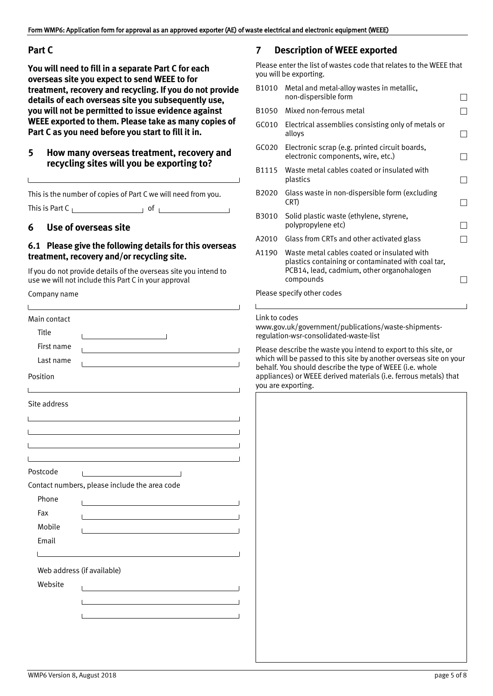## <span id="page-4-0"></span>**Part C**

**You will need to fill in a separate Part C for each overseas site you expect to send WEEE to for treatment, recovery and recycling. If you do not provide details of each overseas site you subsequently use, you will not be permitted to issue evidence against WEEE exported to them. Please take as many copies of Part C as you need before you start to fill it in.**

## **5 How many overseas treatment, recovery and recycling sites will you be exporting to?**

This is the number of copies of Part C we will need from you. This is Part C  $\qquad \qquad$  of  $\qquad \qquad$ 

## **6 Use of overseas site**

### **6.1 Please give the following details for this overseas treatment, recovery and/or recycling site.**

If you do not provide details of the overseas site you intend to use we will not include this Part C in your approval

Company name

| Main contact |                                                                                                                                                                                                                               |  |
|--------------|-------------------------------------------------------------------------------------------------------------------------------------------------------------------------------------------------------------------------------|--|
| Title        |                                                                                                                                                                                                                               |  |
| First name   | <u> 1989 - Johann Stein, mars an deus Amerikaansk kommunister (</u>                                                                                                                                                           |  |
| Last name    |                                                                                                                                                                                                                               |  |
| Position     |                                                                                                                                                                                                                               |  |
|              | <u> 1989 - Johann Stoff, deutscher Stoff, der Stoff, der Stoff, der Stoff, der Stoff, der Stoff, der Stoff, der S</u>                                                                                                         |  |
| Site address |                                                                                                                                                                                                                               |  |
|              | the control of the control of the control of the control of the control of the control of the control of the control of the control of the control of the control of the control of the control of the control of the control |  |
|              | the control of the control of the control of the control of the control of the control of the control of the control of the control of the control of the control of the control of the control of the control of the control |  |
|              |                                                                                                                                                                                                                               |  |
|              | and the control of the control of the control of the control of the control of the control of the control of the                                                                                                              |  |
| Postcode     |                                                                                                                                                                                                                               |  |
|              | Contact numbers, please include the area code                                                                                                                                                                                 |  |
| Phone        |                                                                                                                                                                                                                               |  |
| Fax          |                                                                                                                                                                                                                               |  |
| Mobile       |                                                                                                                                                                                                                               |  |
| Email        |                                                                                                                                                                                                                               |  |
|              | the control of the control of the control of the control of the control of the control of                                                                                                                                     |  |
|              | Web address (if available)                                                                                                                                                                                                    |  |
| Website      |                                                                                                                                                                                                                               |  |
|              | the control of the control of the control of the control of the control of                                                                                                                                                    |  |
|              |                                                                                                                                                                                                                               |  |
|              |                                                                                                                                                                                                                               |  |

## **7 Description of WEEE exported**

Please enter the list of wastes code that relates to the WEEE that you will be exporting.

| B1010                      | Metal and metal-alloy wastes in metallic,<br>non-dispersible form                                                                                           |  |
|----------------------------|-------------------------------------------------------------------------------------------------------------------------------------------------------------|--|
| B1050                      | Mixed non-ferrous metal                                                                                                                                     |  |
| GCO10                      | Electrical assemblies consisting only of metals or<br>alloys                                                                                                |  |
| GC020                      | Electronic scrap (e.g. printed circuit boards,<br>electronic components, wire, etc.)                                                                        |  |
| B1115                      | Waste metal cables coated or insulated with<br>plastics                                                                                                     |  |
| B2020                      | Glass waste in non-dispersible form (excluding<br>CRT)                                                                                                      |  |
| B3010                      | Solid plastic waste (ethylene, styrene,<br>polypropylene etc)                                                                                               |  |
| A2010                      | Glass from CRTs and other activated glass                                                                                                                   |  |
| A1190                      | Waste metal cables coated or insulated with<br>plastics containing or contaminated with coal tar,<br>PCB14, lead, cadmium, other organohalogen<br>compounds |  |
| Please specify other codes |                                                                                                                                                             |  |

#### Link to codes

[www.gov.uk/government/publications/waste](https://www.gov.uk/government/publications/waste-shipments-regulation-wsr-consolidated-waste-list)‐shipments‐ [regulation‐wsr‐consolidated‐waste‐list](https://www.gov.uk/government/publications/waste-shipments-regulation-wsr-consolidated-waste-list)

Please describe the waste you intend to export to this site, or which will be passed to this site by another overseas site on your behalf. You should describe the type of WEEE (i.e. whole appliances) or WEEE derived materials (i.e. ferrous metals) that you are exporting.

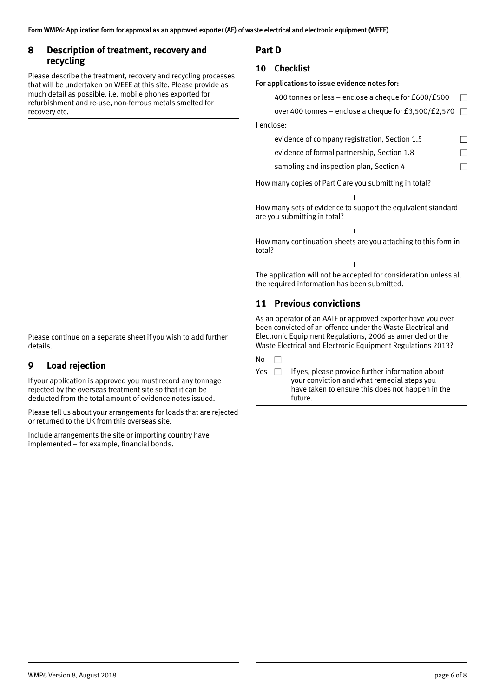## <span id="page-5-0"></span>**8 Description of treatment, recovery and recycling**

Please describe the treatment, recovery and recycling processes that will be undertaken on WEEE at this site. Please provide as much detail as possible. i.e. mobile phones exported for refurbishment and re‐use, non‐ferrous metals smelted for recovery etc.



Please continue on a separate sheet if you wish to add further details.

## **9 Load rejection**

If your application is approved you must record any tonnage rejected by the overseas treatment site so that it can be deducted from the total amount of evidence notes issued.

Please tell us about your arrangements for loads that are rejected or returned to the UK from this overseas site.

Include arrangements the site or importing country have implemented – for example, financial bonds.

## **10 Checklist**

### For applications to issue evidence notes for:

| 400 tonnes or less - enclose a cheque for £600/£500  |                |
|------------------------------------------------------|----------------|
| over 400 tonnes - enclose a cheque for £3,500/£2,570 | $\overline{a}$ |
| I enclose:                                           |                |
| evidence of company registration, Section 1.5        |                |
| evidence of formal partnership, Section 1.8          |                |
| sampling and inspection plan, Section 4              |                |
|                                                      |                |

How many copies of Part C are you submitting in total?

How many sets of evidence to support the equivalent standard are you submitting in total?

How many continuation sheets are you attaching to this form in total?

The application will not be accepted for consideration unless all the required information has been submitted.

## **11 Previous convictions**

As an operator of an AATF or approved exporter have you ever been convicted of an offence under the Waste Electrical and Electronic Equipment Regulations, 2006 as amended or the Waste Electrical and Electronic Equipment Regulations 2013?

 $No$   $\Box$ 

 $\mathbf{I}$ 

Yes  $\Box$  If yes, please provide further information about your conviction and what remedial steps you have taken to ensure this does not happen in the future.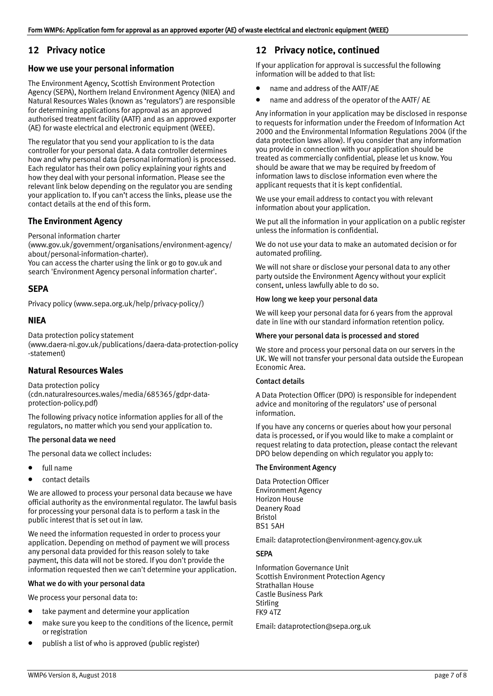## <span id="page-6-0"></span>**12 Privacy notice**

### **How we use your personal information**

The Environment Agency, Scottish Environment Protection Agency (SEPA), Northern Ireland Environment Agency (NIEA) and Natural Resources Wales (known as 'regulators') are responsible for determining applications for approval as an approved authorised treatment facility (AATF) and as an approved exporter (AE) for waste electrical and electronic equipment (WEEE).

The regulator that you send your application to is the data controller for your personal data. A data controller determines how and why personal data (personal information) is processed. Each regulator has their own policy explaining your rights and how they deal with your personal information. Please see the relevant link below depending on the regulator you are sending your application to. If you can't access the links, please use the contact details at the end of this form.

### **The Environment Agency**

Personal information charter

[\(www.gov.uk/government/organisations/environment](http://www.gov.uk/government/organisations/environment-agency/about/personal-information-charter)‐agency/ [about/personal‐information‐charter](http://www.gov.uk/government/organisations/environment-agency/about/personal-information-charter)). You can access the charter using the link or go to gov.uk and

search 'Environment Agency personal information charter'.

### **SEPA**

Privacy policy (www.sepa.[org.uk/help/privacy‐policy/](http://www.sepa.org.uk/help/privacy-policy/))

### **NIEA**

Data protection policy statement ([www.daera‐ni.gov.uk/publications/daera‐data‐protection‐policy](http://www.daera-ni.gov.uk/publications/daera-data-protection-policy-statement) [‐statement](http://www.daera-ni.gov.uk/publications/daera-data-protection-policy-statement))

### **Natural Resources Wales**

Data protection policy ([cdn.naturalresources.wales/media/685365/gdpr‐data‐](https://cdn.naturalresources.wales/media/685365/gdpr-data-protection-policy.pdf) [protection‐policy.pdf](https://cdn.naturalresources.wales/media/685365/gdpr-data-protection-policy.pdf))

The following privacy notice information applies for all of the regulators, no matter which you send your application to.

### The personal data we need

The personal data we collect includes:

- full name
- contact details

We are allowed to process your personal data because we have official authority as the environmental regulator. The lawful basis for processing your personal data is to perform a task in the public interest that is set out in law.

We need the information requested in order to process your application. Depending on method of payment we will process any personal data provided for this reason solely to take payment, this data will not be stored. If you don't provide the information requested then we can't determine your application.

#### What we do with your personal data

We process your personal data to:

- take payment and determine your application
- make sure you keep to the conditions of the licence, permit or registration
- publish a list of who is approved (public register)

## **12 Privacy notice, continued**

If your application for approval is successful the following information will be added to that list:

- name and address of the AATF/AE
- name and address of the operator of the AATF/ AE

Any information in your application may be disclosed in response to requests for information under the Freedom of Information Act 2000 and the Environmental Information Regulations 2004 (if the data protection laws allow). If you consider that any information you provide in connection with your application should be treated as commercially confidential, please let us know. You should be aware that we may be required by freedom of information laws to disclose information even where the applicant requests that it is kept confidential.

We use your email address to contact you with relevant information about your application.

We put all the information in your application on a public register unless the information is confidential.

We do not use your data to make an automated decision or for automated profiling.

We will not share or disclose your personal data to any other party outside the Environment Agency without your explicit consent, unless lawfully able to do so.

#### How long we keep your personal data

We will keep your personal data for 6 years from the approval date in line with our standard information retention policy.

#### Where your personal data is processed and stored

We store and process your personal data on our servers in the UK. We will not transfer your personal data outside the European Economic Area.

### Contact details

A Data Protection Officer (DPO) is responsible for independent advice and monitoring of the regulators' use of personal information.

If you have any concerns or queries about how your personal data is processed, or if you would like to make a complaint or request relating to data protection, please contact the relevant DPO below depending on which regulator you apply to:

#### The Environment Agency

Data Protection Officer Environment Agency Horizon House Deanery Road Bristol BS1 5AH

Email: dataprotection@env[ironment‐agency.gov.uk](mailto:dataprotection@environment-agency.gov.uk)

#### **SEPA**

Information Governance Unit Scottish Environment Protection Agency Strathallan House Castle Business Park **Stirling** FK9 4TZ

Email: [dataprotection@sepa.org.uk](mailto:dataprotection@sepa.org.uk)